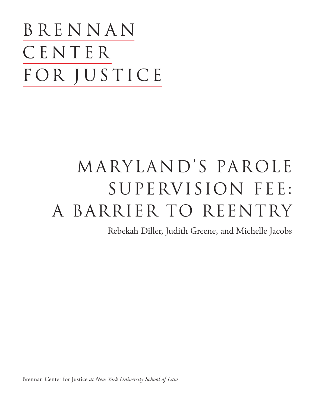BRENNAN CENTER FOR JUSTICE

# Maryland's parole supervision fee: A BARRIER TO REENTRY

Rebekah Diller, Judith Greene, and Michelle Jacobs

Brennan Center for Justice *at New York University School of Law*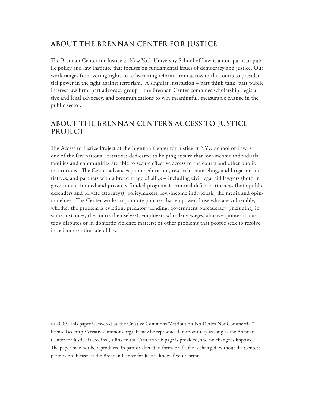# **ABOUT THE BRENNAN CENTER FOR JUSTICE**

The Brennan Center for Justice at New York University School of Law is a non-partisan public policy and law institute that focuses on fundamental issues of democracy and justice. Our work ranges from voting rights to redistricting reform, from access to the courts to presidential power in the fight against terrorism. A singular institution – part think tank, part public interest law firm, part advocacy group – the Brennan Center combines scholarship, legislative and legal advocacy, and communications to win meaningful, measurable change in the public sector.

# **ABOUT THE BRENNAN CENTER'S access to justice PROJECT**

The Access to Justice Project at the Brennan Center for Justice at NYU School of Law is one of the few national initiatives dedicated to helping ensure that low-income individuals, families and communities are able to secure effective access to the courts and other public institutions. The Center advances public education, research, counseling, and litigation initiatives, and partners with a broad range of allies – including civil legal aid lawyers (both in government-funded and privately-funded programs), criminal defense attorneys (both public defenders and private attorneys), policymakers, low-income individuals, the media and opinion elites. The Center works to promote policies that empower those who are vulnerable, whether the problem is eviction; predatory lending; government bureaucracy (including, in some instances, the courts themselves); employers who deny wages; abusive spouses in custody disputes or in domestic violence matters; or other problems that people seek to resolve in reliance on the rule of law.

© 2009. This paper is covered by the Creative Commons "Attribution-No Derivs-NonCommercial" license (see http://creativecommons.org). It may be reproduced in its entirety as long as the Brennan Center for Justice is credited, a link to the Center's web page is provided, and no change is imposed. The paper may not be reproduced in part or altered in form, or if a fee is changed, without the Center's permission. Please let the Brennan Center for Justice know if you reprint.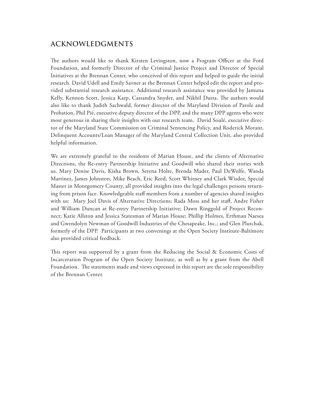# **Acknowledgments**

The authors would like to thank Kirsten Levingston, now a Program Officer at the Ford Foundation, and formerly Director of the Criminal Justice Project and Director of Special Initiatives at the Brennan Center, who conceived of this report and helped to guide the initial research. David Udell and Emily Savner at the Brennan Center helped edit the report and provided substantial research assistance. Additional research assistance was provided by Jamuna Kelly, Kennon Scott, Jessica Karp, Cassandra Snyder, and Nikhil Dutta. The authors would also like to thank Judith Sachwald, former director of the Maryland Division of Parole and Probation, Phil Pié, executive deputy director of the DPP, and the many DPP agents who were most generous in sharing their insights with our research team. David Soulé, executive director of the Maryland State Commission on Criminal Sentencing Policy, and Roderick Morant, Delinquent Accounts/Loan Manager of the Maryland Central Collection Unit, also provided helpful information.

We are extremely grateful to the residents of Marian House, and the clients of Alternative Directions, the Re-entry Partnership Initiative and Goodwill who shared their stories with us. Mary Denise Davis, Kisha Brown, Serena Holte, Brenda Mader, Paul DeWolfe, Wanda Martinez, James Johnston, Mike Beach, Eric Reed, Scott Whitney and Clark Wisdor, Special Master in Montgomery County, all provided insights into the legal challenges persons returning from prison face. Knowledgeable staff members from a number of agencies shared insights with us: Mary Joel Davis of Alternative Directions; Rada Moss and her staff, Andre Fisher and William Duncan at Re-entry Partnership Initiative; Dawn Ringgold of Project Reconnect; Katie Allston and Jessica Statesman of Marian House; Phillip Holmes, Erthman Naesea and Gwendolyn Newman of Goodwill Industries of the Chesapeake, Inc.; and Glen Plutchak, formerly of the DPP. Participants at two convenings at the Open Society Institute-Baltimore also provided critical feedback.

This report was supported by a grant from the Reducing the Social & Economic Costs of Incarceration Program of the Open Society Institute, as well as by a grant from the Abell Foundation. The statements made and views expressed in this report are the sole responsibility of the Brennan Center.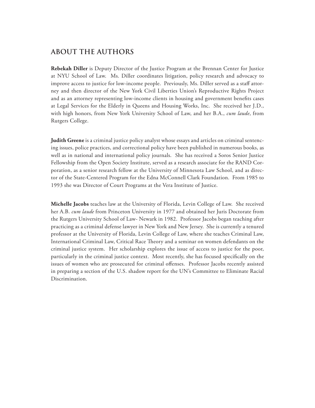# **about the authors**

**Rebekah Diller** is Deputy Director of the Justice Program at the Brennan Center for Justice at NYU School of Law. Ms. Diller coordinates litigation, policy research and advocacy to improve access to justice for low-income people. Previously, Ms. Diller served as a staff attorney and then director of the New York Civil Liberties Union's Reproductive Rights Project and as an attorney representing low-income clients in housing and government benefits cases at Legal Services for the Elderly in Queens and Housing Works, Inc. She received her J.D., with high honors, from New York University School of Law, and her B.A., *cum laude*, from Rutgers College.

**Judith Greene** is a criminal justice policy analyst whose essays and articles on criminal sentencing issues, police practices, and correctional policy have been published in numerous books, as well as in national and international policy journals. She has received a Soros Senior Justice Fellowship from the Open Society Institute, served as a research associate for the RAND Corporation, as a senior research fellow at the University of Minnesota Law School, and as director of the State-Centered Program for the Edna McConnell Clark Foundation. From 1985 to 1993 she was Director of Court Programs at the Vera Institute of Justice.

**Michelle Jacobs** teaches law at the University of Florida, Levin College of Law. She received her A.B. *cum laude* from Princeton University in 1977 and obtained her Juris Doctorate from the Rutgers University School of Law- Newark in 1982. Professor Jacobs began teaching after practicing as a criminal defense lawyer in New York and New Jersey. She is currently a tenured professor at the University of Florida, Levin College of Law, where she teaches Criminal Law, International Criminal Law, Critical Race Theory and a seminar on women defendants on the criminal justice system. Her scholarship explores the issue of access to justice for the poor, particularly in the criminal justice context. Most recently, she has focused specifically on the issues of women who are prosecuted for criminal offenses. Professor Jacobs recently assisted in preparing a section of the U.S. shadow report for the UN's Committee to Eliminate Racial Discrimination.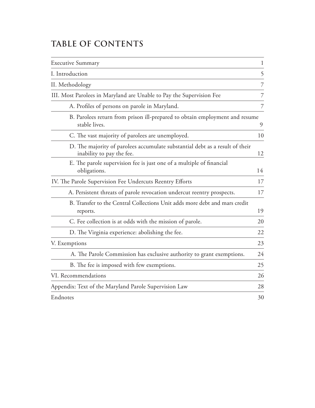# **Table of Contents**

| <b>Executive Summary</b>                                                                                  | $\mathbf{1}$ |
|-----------------------------------------------------------------------------------------------------------|--------------|
| I. Introduction                                                                                           | 5            |
| II. Methodology                                                                                           | 7            |
| III. Most Parolees in Maryland are Unable to Pay the Supervision Fee                                      | 7            |
| A. Profiles of persons on parole in Maryland.                                                             | 7            |
| B. Parolees return from prison ill-prepared to obtain employment and resume<br>stable lives.              | 9            |
| C. The vast majority of parolees are unemployed.                                                          | 10           |
| D. The majority of parolees accumulate substantial debt as a result of their<br>inability to pay the fee. | 12           |
| E. The parole supervision fee is just one of a multiple of financial<br>obligations.                      | 14           |
| IV. The Parole Supervision Fee Undercuts Reentry Efforts                                                  | 17           |
| A. Persistent threats of parole revocation undercut reentry prospects.                                    | 17           |
| B. Transfer to the Central Collections Unit adds more debt and mars credit<br>reports.                    | 19           |
| C. Fee collection is at odds with the mission of parole.                                                  | 20           |
| D. The Virginia experience: abolishing the fee.                                                           | 22           |
| V. Exemptions                                                                                             | 23           |
| A. The Parole Commission has exclusive authority to grant exemptions.                                     | 24           |
| B. The fee is imposed with few exemptions.                                                                | 25           |
| VI. Recommendations                                                                                       | 26           |
| Appendix: Text of the Maryland Parole Supervision Law                                                     | 28           |
| Endnotes                                                                                                  | 30           |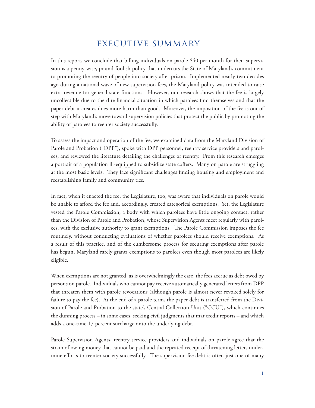# executive summary

In this report, we conclude that billing individuals on parole \$40 per month for their supervision is a penny-wise, pound-foolish policy that undercuts the State of Maryland's commitment to promoting the reentry of people into society after prison. Implemented nearly two decades ago during a national wave of new supervision fees, the Maryland policy was intended to raise extra revenue for general state functions. However, our research shows that the fee is largely uncollectible due to the dire financial situation in which parolees find themselves and that the paper debt it creates does more harm than good. Moreover, the imposition of the fee is out of step with Maryland's move toward supervision policies that protect the public by promoting the ability of parolees to reenter society successfully.

To assess the impact and operation of the fee, we examined data from the Maryland Division of Parole and Probation ("DPP"), spoke with DPP personnel, reentry service providers and parolees, and reviewed the literature detailing the challenges of reentry. From this research emerges a portrait of a population ill-equipped to subsidize state coffers. Many on parole are struggling at the most basic levels. They face significant challenges finding housing and employment and reestablishing family and community ties.

In fact, when it enacted the fee, the Legislature, too, was aware that individuals on parole would be unable to afford the fee and, accordingly, created categorical exemptions. Yet, the Legislature vested the Parole Commission, a body with which parolees have little ongoing contact, rather than the Division of Parole and Probation, whose Supervision Agents meet regularly with parolees, with the exclusive authority to grant exemptions. The Parole Commission imposes the fee routinely, without conducting evaluations of whether parolees should receive exemptions. As a result of this practice, and of the cumbersome process for securing exemptions after parole has begun, Maryland rarely grants exemptions to parolees even though most parolees are likely eligible.

When exemptions are not granted, as is overwhelmingly the case, the fees accrue as debt owed by persons on parole. Individuals who cannot pay receive automatically generated letters from DPP that threaten them with parole revocations (although parole is almost never revoked solely for failure to pay the fee). At the end of a parole term, the paper debt is transferred from the Division of Parole and Probation to the state's Central Collection Unit ("CCU"), which continues the dunning process – in some cases, seeking civil judgments that mar credit reports – and which adds a one-time 17 percent surcharge onto the underlying debt.

Parole Supervision Agents, reentry service providers and individuals on parole agree that the strain of owing money that cannot be paid and the repeated receipt of threatening letters undermine efforts to reenter society successfully. The supervision fee debt is often just one of many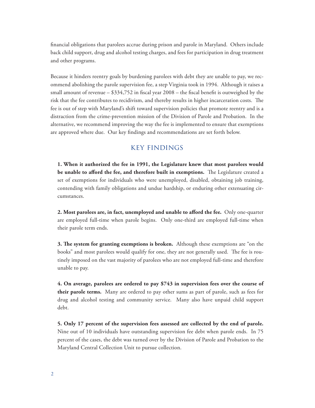financial obligations that parolees accrue during prison and parole in Maryland. Others include back child support, drug and alcohol testing charges, and fees for participation in drug treatment and other programs.

Because it hinders reentry goals by burdening parolees with debt they are unable to pay, we recommend abolishing the parole supervision fee, a step Virginia took in 1994. Although it raises a small amount of revenue – \$334,752 in fiscal year 2008 – the fiscal benefit is outweighed by the risk that the fee contributes to recidivism, and thereby results in higher incarceration costs. The fee is out of step with Maryland's shift toward supervision policies that promote reentry and is a distraction from the crime-prevention mission of the Division of Parole and Probation. In the alternative, we recommend improving the way the fee is implemented to ensure that exemptions are approved where due. Our key findings and recommendations are set forth below.

# key findings

**1. When it authorized the fee in 1991, the Legislature knew that most parolees would be unable to afford the fee, and therefore built in exemptions.** The Legislature created a set of exemptions for individuals who were unemployed, disabled, obtaining job training, contending with family obligations and undue hardship, or enduring other extenuating circumstances.

**2. Most parolees are, in fact, unemployed and unable to afford the fee.** Only one-quarter are employed full-time when parole begins. Only one-third are employed full-time when their parole term ends.

**3. The system for granting exemptions is broken.** Although these exemptions are "on the books" and most parolees would qualify for one, they are not generally used. The fee is routinely imposed on the vast majority of parolees who are not employed full-time and therefore unable to pay.

**4. On average, parolees are ordered to pay \$743 in supervision fees over the course of their parole terms.** Many are ordered to pay other sums as part of parole, such as fees for drug and alcohol testing and community service. Many also have unpaid child support debt.

**5. Only 17 percent of the supervision fees assessed are collected by the end of parole.** Nine out of 10 individuals have outstanding supervision fee debt when parole ends. In 75 percent of the cases, the debt was turned over by the Division of Parole and Probation to the Maryland Central Collection Unit to pursue collection.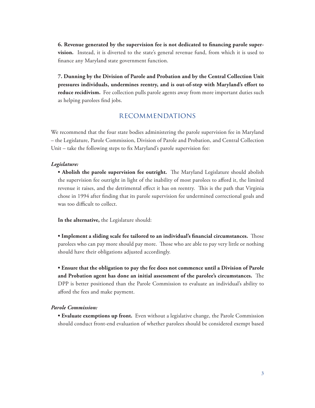**6. Revenue generated by the supervision fee is not dedicated to financing parole supervision.** Instead, it is diverted to the state's general revenue fund, from which it is used to finance any Maryland state government function.

**7. Dunning by the Division of Parole and Probation and by the Central Collection Unit pressures individuals, undermines reentry, and is out-of-step with Maryland's effort to reduce recidivism.** Fee collection pulls parole agents away from more important duties such as helping parolees find jobs.

# recommendations

We recommend that the four state bodies administering the parole supervision fee in Maryland – the Legislature, Parole Commission, Division of Parole and Probation, and Central Collection Unit – take the following steps to fix Maryland's parole supervision fee:

#### *Legislature:*

**• Abolish the parole supervision fee outright.** The Maryland Legislature should abolish the supervision fee outright in light of the inability of most parolees to afford it, the limited revenue it raises, and the detrimental effect it has on reentry. This is the path that Virginia chose in 1994 after finding that its parole supervision fee undermined correctional goals and was too difficult to collect.

**In the alternative,** the Legislature should:

**• Implement a sliding scale fee tailored to an individual's financial circumstances.** Those parolees who can pay more should pay more. Those who are able to pay very little or nothing should have their obligations adjusted accordingly.

**• Ensure that the obligation to pay the fee does not commence until a Division of Parole and Probation agent has done an initial assessment of the parolee's circumstances.** The DPP is better positioned than the Parole Commission to evaluate an individual's ability to afford the fees and make payment.

#### *Parole Commission:*

**• Evaluate exemptions up front.** Even without a legislative change, the Parole Commission should conduct front-end evaluation of whether parolees should be considered exempt based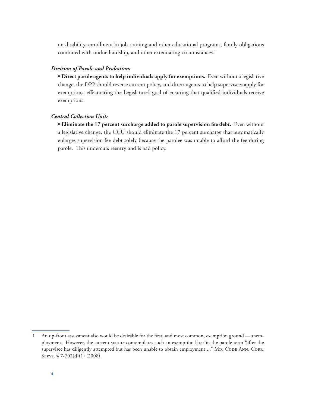on disability, enrollment in job training and other educational programs, family obligations combined with undue hardship, and other extenuating circumstances.<sup>1</sup>

#### *Division of Parole and Probation:*

**• Direct parole agents to help individuals apply for exemptions.** Even without a legislative change, the DPP should reverse current policy, and direct agents to help supervisees apply for exemptions, effectuating the Legislature's goal of ensuring that qualified individuals receive exemptions.

#### *Central Collection Unit:*

**• Eliminate the 17 percent surcharge added to parole supervision fee debt.** Even without a legislative change, the CCU should eliminate the 17 percent surcharge that automatically enlarges supervision fee debt solely because the parolee was unable to afford the fee during parole. This undercuts reentry and is bad policy.

<sup>1</sup> An up-front assessment also would be desirable for the first, and most common, exemption ground —unemployment. However, the current statute contemplates such an exemption later in the parole term "after the supervisee has diligently attempted but has been unable to obtain employment ..." MD. CODE ANN. CORR. Servs. § 7-702(d)(1) (2008).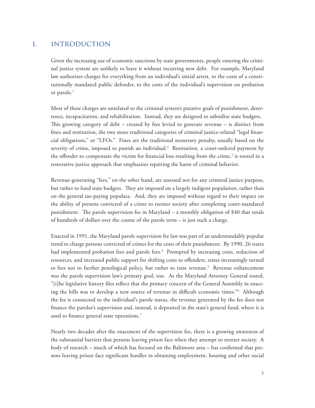# i. introduction

Given the increasing use of economic sanctions by state governments, people entering the criminal justice system are unlikely to leave it without incurring new debt. For example, Maryland law authorizes charges for everything from an individual's initial arrest, to the costs of a constitutionally mandated public defender, to the costs of the individual's supervision on probation or parole.<sup>1</sup>

Most of these charges are unrelated to the criminal system's putative goals of punishment, deterrence, incapacitation, and rehabilitation. Instead, they are designed to subsidize state budgets. This growing category of debt – created by fees levied to generate revenue – is distinct from fines and restitution, the two more traditional categories of criminal justice-related "legal financial obligations," or "LFOs." Fines are the traditional monetary penalty, usually based on the severity of crime, imposed to punish an individual.<sup>2</sup> Restitution, a court-ordered payment by the offender to compensate the victim for financial loss resulting from the crime,<sup>3</sup> is rooted in a restorative justice approach that emphasizes repairing the harm of criminal behavior.

Revenue-generating "fees," on the other hand, are assessed not for any criminal justice purpose, but rather to fund state budgets. They are imposed on a largely indigent population, rather than on the general tax-paying populace. And, they are imposed without regard to their impact on the ability of persons convicted of a crime to reenter society after completing court-mandated punishment. The parole supervision fee in Maryland – a monthly obligation of \$40 that totals of hundreds of dollars over the course of the parole term – is just such a charge.

Enacted in 1991, the Maryland parole supervision fee law was part of an understandably popular trend to charge persons convicted of crimes for the costs of their punishment. By 1990, 26 states had implemented probation fees and parole fees.<sup>4</sup> Prompted by increasing costs, reduction of resources, and increased public support for shifting costs to offenders, states increasingly turned to fees not to further penological policy, but rather to raise revenue.<sup>5</sup> Revenue enhancement was the parole supervision law's primary goal, too. As the Maryland Attorney General stated, "[t]he legislative history files reflect that the primary concern of the General Assembly in enacting the bills was to develop a new source of revenue in difficult economic times."6 Although the fee is connected to the individual's parole status, the revenue generated by the fee does not finance the parolee's supervision and, instead, is deposited in the state's general fund, where it is used to finance general state operations.<sup>7</sup>

Nearly two decades after the enactment of the supervision fee, there is a growing awareness of the substantial barriers that persons leaving prison face when they attempt to reenter society. A body of research – much of which has focused on the Baltimore area – has confirmed that persons leaving prison face significant hurdles in obtaining employment, housing and other social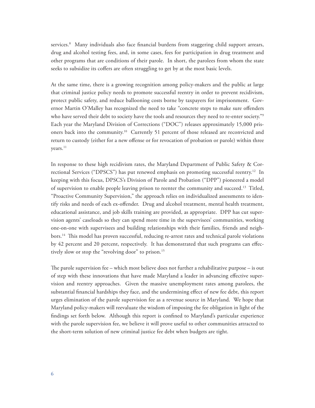services.<sup>8</sup> Many individuals also face financial burdens from staggering child support arrears, drug and alcohol testing fees, and, in some cases, fees for participation in drug treatment and other programs that are conditions of their parole. In short, the parolees from whom the state seeks to subsidize its coffers are often struggling to get by at the most basic levels.

At the same time, there is a growing recognition among policy-makers and the public at large that criminal justice policy needs to promote successful reentry in order to prevent recidivism, protect public safety, and reduce ballooning costs borne by taxpayers for imprisonment. Governor Martin O'Malley has recognized the need to take "concrete steps to make sure offenders who have served their debt to society have the tools and resources they need to re-enter society."<sup>9</sup> Each year the Maryland Division of Corrections ("DOC") releases approximately 15,000 prisoners back into the community.10 Currently 51 percent of those released are reconvicted and return to custody (either for a new offense or for revocation of probation or parole) within three years.11

In response to these high recidivism rates, the Maryland Department of Public Safety & Correctional Services ("DPSCS") has put renewed emphasis on promoting successful reentry.<sup>12</sup> In keeping with this focus, DPSCS's Division of Parole and Probation ("DPP") pioneered a model of supervision to enable people leaving prison to reenter the community and succeed.13 Titled, "Proactive Community Supervision," the approach relies on individualized assessments to identify risks and needs of each ex-offender. Drug and alcohol treatment, mental health treatment, educational assistance, and job skills training are provided, as appropriate. DPP has cut supervision agents' caseloads so they can spend more time in the supervisees' communities, working one-on-one with supervisees and building relationships with their families, friends and neighbors.14 This model has proven successful, reducing re-arrest rates and technical parole violations by 42 percent and 20 percent, respectively. It has demonstrated that such programs can effectively slow or stop the "revolving door" to prison.<sup>15</sup>

The parole supervision fee – which most believe does not further a rehabilitative purpose – is out of step with these innovations that have made Maryland a leader in advancing effective supervision and reentry approaches. Given the massive unemployment rates among parolees, the substantial financial hardships they face, and the undermining effect of new fee debt, this report urges elimination of the parole supervision fee as a revenue source in Maryland. We hope that Maryland policy-makers will reevaluate the wisdom of imposing the fee obligation in light of the findings set forth below. Although this report is confined to Maryland's particular experience with the parole supervision fee, we believe it will prove useful to other communities attracted to the short-term solution of new criminal justice fee debt when budgets are tight.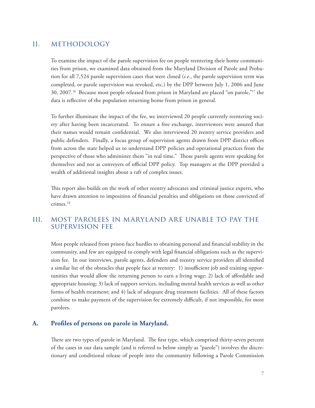# ii. methodology

To examine the impact of the parole supervision fee on people reentering their home communities from prison, we examined data obtained from the Maryland Division of Parole and Probation for all 7,524 parole supervision cases that were closed (*i.e.*, the parole supervision term was completed, or parole supervision was revoked, etc.) by the DPP between July 1, 2006 and June 30, 2007.16 Because most people released from prison in Maryland are placed "on parole,"17 the data is reflective of the population returning home from prison in general.

To further illuminate the impact of the fee, we interviewed 20 people currently reentering society after having been incarcerated. To ensure a free exchange, interviewees were assured that their names would remain confidential. We also interviewed 20 reentry service providers and public defenders. Finally, a focus group of supervision agents drawn from DPP district offices from across the state helped us to understand DPP policies and operational practices from the perspective of those who administer them "in real time." Those parole agents were speaking for themselves and not as conveyers of official DPP policy. Top managers at the DPP provided a wealth of additional insights about a raft of complex issues.

This report also builds on the work of other reentry advocates and criminal justice experts, who have drawn attention to imposition of financial penalties and obligations on those convicted of crimes.18

# iii. most parolees in maryland are unable to pay the supervision fee

Most people released from prison face hurdles to obtaining personal and financial stability in the community, and few are equipped to comply with legal financial obligations such as the supervision fee. In our interviews, parole agents, defenders and reentry service providers all identified a similar list of the obstacles that people face at reentry: 1) insufficient job and training opportunities that would allow the returning person to earn a living wage; 2) lack of affordable and appropriate housing; 3) lack of support services, including mental health services as well as other forms of health treatment; and 4) lack of adequate drug treatment facilities. All of these factors combine to make payment of the supervision fee extremely difficult, if not impossible, for most parolees.

#### **A. Profiles of persons on parole in Maryland.**

There are two types of parole in Maryland. The first type, which comprised thirty-seven percent of the cases in our data sample (and is referred to below simply as "parole") involves the discretionary and conditional release of people into the community following a Parole Commission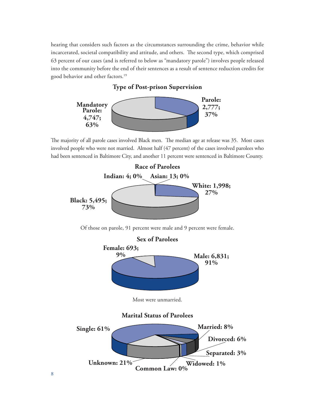hearing that considers such factors as the circumstances surrounding the crime, behavior while incarcerated, societal compatibility and attitude, and others. The second type, which comprised 63 percent of our cases (and is referred to below as "mandatory parole") involves people released into the community before the end of their sentences as a result of sentence reduction credits for good behavior and other factors.19

#### **Type of Post-prison Supervision**



The majority of all parole cases involved Black men. The median age at release was 35. Most cases involved people who were not married. Almost half (47 percent) of the cases involved parolees who had been sentenced in Baltimore City, and another 11 percent were sentenced in Baltimore County.

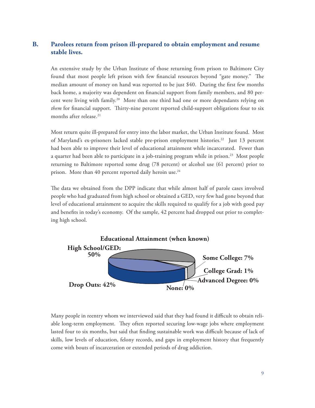# **B. Parolees return from prison ill-prepared to obtain employment and resume stable lives.**

An extensive study by the Urban Institute of those returning from prison to Baltimore City found that most people left prison with few financial resources beyond "gate money." The median amount of money on hand was reported to be just \$40. During the first few months back home, a majority was dependent on financial support from family members, and 80 percent were living with family.20 More than one third had one or more dependants relying on *them* for financial support. Thirty-nine percent reported child-support obligations four to six months after release.<sup>21</sup>

Most return quite ill-prepared for entry into the labor market, the Urban Institute found. Most of Maryland's ex-prisoners lacked stable pre-prison employment histories.22 Just 13 percent had been able to improve their level of educational attainment while incarcerated. Fewer than a quarter had been able to participate in a job-training program while in prison.<sup>23</sup> Most people returning to Baltimore reported some drug (78 percent) or alcohol use (61 percent) prior to prison. More than 40 percent reported daily heroin use.<sup>24</sup>

The data we obtained from the DPP indicate that while almost half of parole cases involved people who had graduated from high school or obtained a GED, very few had gone beyond that level of educational attainment to acquire the skills required to qualify for a job with good pay and benefits in today's economy. Of the sample, 42 percent had dropped out prior to completing high school.



Many people in reentry whom we interviewed said that they had found it difficult to obtain reliable long-term employment. They often reported securing low-wage jobs where employment lasted four to six months, but said that finding sustainable work was difficult because of lack of skills, low levels of education, felony records, and gaps in employment history that frequently come with bouts of incarceration or extended periods of drug addiction.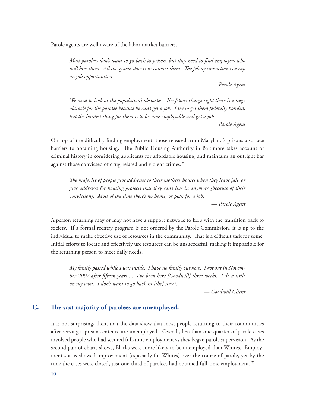Parole agents are well-aware of the labor market barriers.

*Most parolees don't want to go back to prison, but they need to find employers who will hire them. All the system does is re-convict them. The felony conviction is a cap on job opportunities.* 

*— Parole Agent*

*We need to look at the population's obstacles. The felony charge right there is a huge obstacle for the parolee because he can't get a job. I try to get them federally bonded, but the hardest thing for them is to become employable and get a job. — Parole Agent*

On top of the difficulty finding employment, those released from Maryland's prisons also face barriers to obtaining housing. The Public Housing Authority in Baltimore takes account of criminal history in considering applicants for affordable housing, and maintains an outright bar against those convicted of drug-related and violent crimes.<sup>25</sup>

*The majority of people give addresses to their mothers' houses when they leave jail, or give addresses for housing projects that they can't live in anymore [because of their conviction]. Most of the time there's no home, or plan for a job.*

*— Parole Agent*

A person returning may or may not have a support network to help with the transition back to society. If a formal reentry program is not ordered by the Parole Commission, it is up to the individual to make effective use of resources in the community. That is a difficult task for some. Initial efforts to locate and effectively use resources can be unsuccessful, making it impossible for the returning person to meet daily needs.

*My family passed while I was inside. I have no family out here. I got out in November 2007 after fifteen years ... I've been here [Goodwill] three weeks. I do a little on my own. I don't want to go back in [the] street.*

 *— Goodwill Client*

### **C. The vast majority of parolees are unemployed.**

It is not surprising, then, that the data show that most people returning to their communities after serving a prison sentence are unemployed. Overall, less than one-quarter of parole cases involved people who had secured full-time employment as they began parole supervision. As the second pair of charts shows, Blacks were more likely to be unemployed than Whites. Employment status showed improvement (especially for Whites) over the course of parole, yet by the time the cases were closed, just one-third of parolees had obtained full-time employment.<sup>26</sup>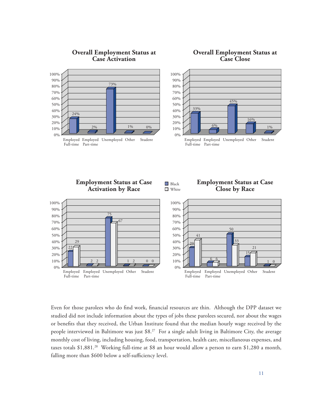

**Overall Employment Status at Case Activation**



Even for those parolees who do find work, financial resources are thin. Although the DPP dataset we studied did not include information about the types of jobs these parolees secured, nor about the wages or benefits that they received, the Urban Institute found that the median hourly wage received by the people interviewed in Baltimore was just \$8.<sup>27</sup> For a single adult living in Baltimore City, the average monthly cost of living, including housing, food, transportation, health care, miscellaneous expenses, and taxes totals \$1,881.<sup>28</sup> Working full-time at \$8 an hour would allow a person to earn \$1,280 a month, falling more than \$600 below a self-sufficiency level.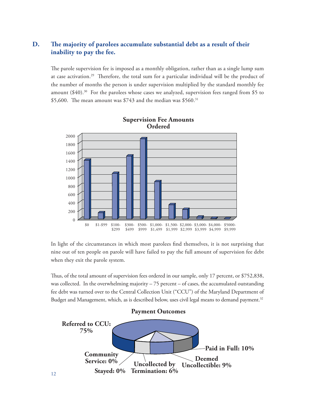# **D. The majority of parolees accumulate substantial debt as a result of their inability to pay the fee.**

The parole supervision fee is imposed as a monthly obligation, rather than as a single lump sum at case activation.29 Therefore, the total sum for a particular individual will be the product of the number of months the person is under supervision multiplied by the standard monthly fee amount  $(\$40).^{30}$  For the parolees whose cases we analyzed, supervision fees ranged from \$5 to \$5,600. The mean amount was  $$743$  and the median was  $$560.<sup>31</sup>$ 



**Supervision Fee Amounts** 

In light of the circumstances in which most parolees find themselves, it is not surprising that nine out of ten people on parole will have failed to pay the full amount of supervision fee debt when they exit the parole system.

Thus, of the total amount of supervision fees ordered in our sample, only 17 percent, or \$752,838, was collected. In the overwhelming majority – 75 percent – of cases, the accumulated outstanding fee debt was turned over to the Central Collection Unit ("CCU") of the Maryland Department of Budget and Management, which, as is described below, uses civil legal means to demand payment.<sup>32</sup>

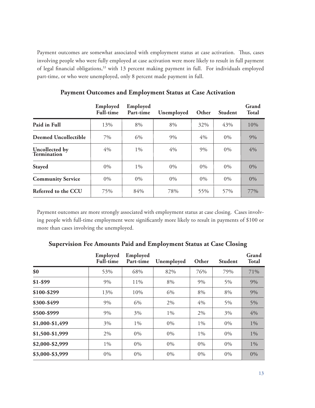Payment outcomes are somewhat associated with employment status at case activation. Thus, cases involving people who were fully employed at case activation were more likely to result in full payment of legal financial obligations,<sup>33</sup> with 13 percent making payment in full. For individuals employed part-time, or who were unemployed, only 8 percent made payment in full.

|                               | Employed<br><b>Full-time</b> | Employed<br>Part-time | Unemployed | Other | Student | Grand<br><b>Total</b> |
|-------------------------------|------------------------------|-----------------------|------------|-------|---------|-----------------------|
| Paid in Full                  | 13%                          | 8%                    | 8%         | 32%   | 43%     | 10%                   |
| <b>Deemed Uncollectible</b>   | 7%                           | 6%                    | 9%         | 4%    | $0\%$   | 9%                    |
| Uncollected by<br>Termination | 4%                           | $1\%$                 | 4%         | 9%    | 0%      | 4%                    |
| <b>Stayed</b>                 | $0\%$                        | $1\%$                 | $0\%$      | $0\%$ | $0\%$   | $0\%$                 |
| <b>Community Service</b>      | $0\%$                        | 0%                    | 0%         | $0\%$ | 0%      | 0%                    |
| Referred to the CCU           | 75%                          | 84%                   | 78%        | 55%   | 57%     | 77%                   |

**Payment Outcomes and Employment Status at Case Activation**

Payment outcomes are more strongly associated with employment status at case closing. Cases involving people with full-time employment were significantly more likely to result in payments of \$100 or more than cases involving the unemployed.

|                 | Employed<br><b>Full-time</b> | Employed<br>Part-time | Unemployed | Other | <b>Student</b> | Grand<br><b>Total</b> |
|-----------------|------------------------------|-----------------------|------------|-------|----------------|-----------------------|
| \$0             | 53%                          | 68%                   | 82%        | 76%   | 79%            | 71%                   |
| $$1-$99$        | 9%                           | 11%                   | 8%         | 9%    | 5%             | 9%                    |
| \$100-\$299     | 13%                          | 10%                   | 6%         | 8%    | 8%             | 9%                    |
| \$300-\$499     | 9%                           | 6%                    | 2%         | 4%    | 5%             | 5%                    |
| \$500-\$999     | 9%                           | 3%                    | $1\%$      | 2%    | 3%             | 4%                    |
| \$1,000-\$1,499 | 3%                           | 1%                    | 0%         | $1\%$ | $0\%$          | $1\%$                 |
| \$1,500-\$1,999 | 2%                           | $0\%$                 | 0%         | $1\%$ | $0\%$          | $1\%$                 |
| \$2,000-\$2,999 | $1\%$                        | $0\%$                 | 0%         | $0\%$ | $0\%$          | 1%                    |
| \$3,000-\$3,999 | 0%                           | $0\%$                 | 0%         | $0\%$ | $0\%$          | 0%                    |

**Supervision Fee Amounts Paid and Employment Status at Case Closing**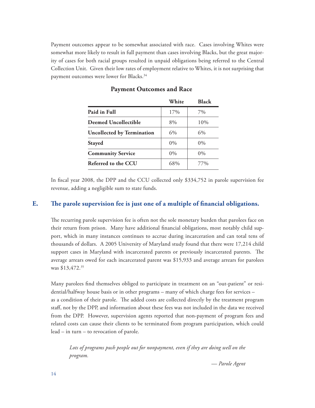Payment outcomes appear to be somewhat associated with race. Cases involving Whites were somewhat more likely to result in full payment than cases involving Blacks, but the great majority of cases for both racial groups resulted in unpaid obligations being referred to the Central Collection Unit. Given their low rates of employment relative to Whites, it is not surprising that payment outcomes were lower for Blacks.<sup>34</sup>

|                                   | White | <b>Black</b> |
|-----------------------------------|-------|--------------|
| Paid in Full                      | 17%   | 7%           |
| <b>Deemed Uncollectible</b>       | 8%    | 10%          |
| <b>Uncollected by Termination</b> | 6%    | 6%           |
| <b>Stayed</b>                     | $0\%$ | $0\%$        |
| <b>Community Service</b>          | $0\%$ | $0\%$        |
| Referred to the CCU               | 68%   | 77%          |

**Payment Outcomes and Race**

In fiscal year 2008, the DPP and the CCU collected only \$334,752 in parole supervision fee revenue, adding a negligible sum to state funds.

# **E. The parole supervision fee is just one of a multiple of financial obligations.**

The recurring parole supervision fee is often not the sole monetary burden that parolees face on their return from prison. Many have additional financial obligations, most notably child support, which in many instances continues to accrue during incarceration and can total tens of thousands of dollars. A 2005 University of Maryland study found that there were 17,214 child support cases in Maryland with incarcerated parents or previously incarcerated parents. The average arrears owed for each incarcerated parent was \$15,933 and average arrears for parolees was \$13,472.<sup>35</sup>

Many parolees find themselves obliged to participate in treatment on an "out-patient" or residential/halfway house basis or in other programs – many of which charge fees for services – as a condition of their parole. The added costs are collected directly by the treatment program staff, not by the DPP, and information about these fees was not included in the data we received from the DPP. However, supervision agents reported that non-payment of program fees and related costs can cause their clients to be terminated from program participation, which could lead – in turn – to revocation of parole.

*Lots of programs push people out for nonpayment, even if they are doing well on the program.*

*— Parole Agent*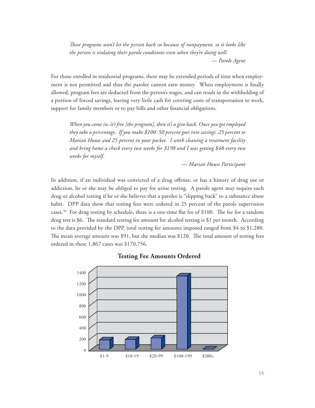*These programs won't let the person back in because of nonpayment, so it looks like the person is violating their parole conditions even when they're doing well. — Parole Agent*

For those enrolled in residential programs, there may be extended periods of time when employment is not permitted and thus the parolee cannot earn money. When employment is finally allowed, program fees are deducted from the person's wages, and can result in the withholding of a portion of forced savings, leaving very little cash for covering costs of transportation to work, support for family members or to pay bills and other financial obligations.

*When you come in, it's free [the program], then it's a give back. Once you get employed they take a percentage. If you make \$100: 50 percent goes into savings, 25 percent to Marian House and 25 percent in your pocket. I work cleaning a treatment facility and bring home a check every two weeks for \$198 and I was getting \$48 every two weeks for myself.*

*— Marian House Participant*

In addition, if an individual was convicted of a drug offense, or has a history of drug use or addiction, he or she may be obliged to pay for urine testing. A parole agent may require such drug or alcohol testing if he or she believes that a parolee is "slipping back" to a substance abuse habit. DPP data show that testing fees were ordered in 25 percent of the parole supervision cases.36 For drug testing by schedule, there is a one-time flat fee of \$100. The fee for a random drug test is \$6. The standard testing fee amount for alcohol testing is \$1 per month. According to the data provided by the DPP, total testing fee amounts imposed ranged from \$4 to \$1,280. The mean average amount was \$91, but the median was \$120. The total amount of testing fees ordered in these 1,867 cases was \$170,756.



#### **Testing Fee Amounts Ordered**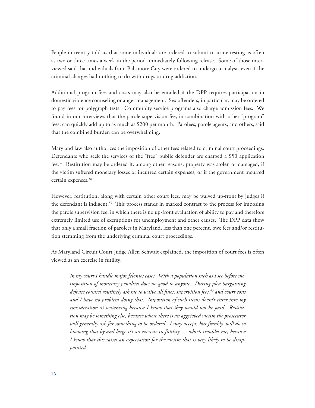People in reentry told us that some individuals are ordered to submit to urine testing as often as two or three times a week in the period immediately following release. Some of those interviewed said that individuals from Baltimore City were ordered to undergo urinalysis even if the criminal charges had nothing to do with drugs or drug addiction.

Additional program fees and costs may also be entailed if the DPP requires participation in domestic violence counseling or anger management. Sex offenders, in particular, may be ordered to pay fees for polygraph tests. Community service programs also charge admission fees. We found in our interviews that the parole supervision fee, in combination with other "program" fees, can quickly add up to as much as \$200 per month. Parolees, parole agents, and others, said that the combined burden can be overwhelming.

Maryland law also authorizes the imposition of other fees related to criminal court proceedings. Defendants who seek the services of the "free" public defender are charged a \$50 application fee.37 Restitution may be ordered if, among other reasons, property was stolen or damaged, if the victim suffered monetary losses or incurred certain expenses, or if the government incurred certain expenses.<sup>38</sup>

However, restitution, along with certain other court fees, may be waived up-front by judges if the defendant is indigent.<sup>39</sup> This process stands in marked contrast to the process for imposing the parole supervision fee, in which there is no up-front evaluation of ability to pay and therefore extremely limited use of exemptions for unemployment and other causes. The DPP data show that only a small fraction of parolees in Maryland, less than one percent, owe fees and/or restitution stemming from the underlying criminal court proceedings.

As Maryland Circuit Court Judge Allen Schwait explained, the imposition of court fees is often viewed as an exercise in futility:

*In my court I handle major felonies cases. With a population such as I see before me, imposition of monetary penalties does no good to anyone. During plea bargaining*  defense counsel routinely ask me to waive all fines, supervision fees,<sup>40</sup> and court costs *and I have no problem doing that. Imposition of such items doesn't enter into my consideration at sentencing because I know that they would not be paid. Restitution may be something else, because where there is an aggrieved victim the prosecutor will generally ask for something to be ordered. I may accept, but frankly, will do so knowing that by and large it's an exercise in futility — which troubles me, because I know that this raises an expectation for the victim that is very likely to be disappointed.*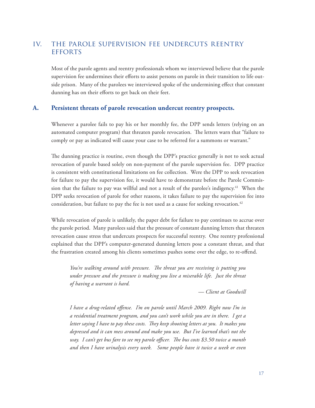# iv. the parole supervision fee undercuts reentry **EFFORTS**

Most of the parole agents and reentry professionals whom we interviewed believe that the parole supervision fee undermines their efforts to assist persons on parole in their transition to life outside prison. Many of the parolees we interviewed spoke of the undermining effect that constant dunning has on their efforts to get back on their feet.

#### **A. Persistent threats of parole revocation undercut reentry prospects.**

Whenever a parolee fails to pay his or her monthly fee, the DPP sends letters (relying on an automated computer program) that threaten parole revocation. The letters warn that "failure to comply or pay as indicated will cause your case to be referred for a summons or warrant."

The dunning practice is routine, even though the DPP's practice generally is not to seek actual revocation of parole based solely on non-payment of the parole supervision fee. DPP practice is consistent with constitutional limitations on fee collection. Were the DPP to seek revocation for failure to pay the supervision fee, it would have to demonstrate before the Parole Commission that the failure to pay was willful and not a result of the parolee's indigency.<sup>41</sup> When the DPP seeks revocation of parole for other reasons, it takes failure to pay the supervision fee into consideration, but failure to pay the fee is not used as a cause for seeking revocation.<sup>42</sup>

While revocation of parole is unlikely, the paper debt for failure to pay continues to accrue over the parole period. Many parolees said that the pressure of constant dunning letters that threaten revocation cause stress that undercuts prospects for successful reentry. One reentry professional explained that the DPP's computer-generated dunning letters pose a constant threat, and that the frustration created among his clients sometimes pushes some over the edge, to re-offend.

*You're walking around with pressure. The threat you are receiving is putting you under pressure and the pressure is making you live a miserable life. Just the threat of having a warrant is hard.*

*— Client at Goodwill*

*I have a drug-related offense. I'm on parole until March 2009. Right now I'm in a residential treatment program, and you can't work while you are in there. I get a letter saying I have to pay these costs. They keep shooting letters at you. It makes you depressed and it can mess around and make you use. But I've learned that's not the way. I can't get bus fare to see my parole officer. The bus costs \$3.50 twice a month and then I have urinalysis every week. Some people have it twice a week or even*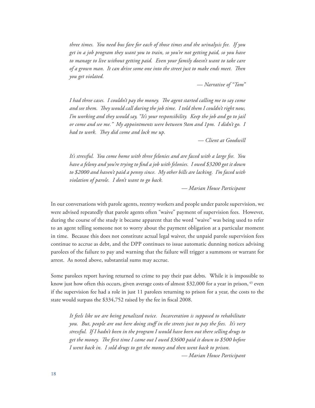*three times. You need bus fare for each of those times and the urinalysis fee. If you get in a job program they want you to train, so you're not getting paid, so you have to manage to live without getting paid. Even your family doesn't want to take care of a grown man. It can drive some one into the street just to make ends meet. Then you get violated.*

 *— Narrative of "Tom"*

*I had three cases. I couldn't pay the money. The agent started calling me to say come and see them. They would call during the job time. I told them I couldn't right now, I'm working and they would say, "It's your responsibility. Keep the job and go to jail or come and see me." My appointments were between 9am and 1pm. I didn't go. I had to work. They did come and lock me up.*

 *— Client at Goodwill*

*It's stressful. You come home with three felonies and are faced with a large fee. You have a felony and you're trying to find a job with felonies. I owed \$3200 got it down to \$2000 and haven't paid a penny since. My other bills are lacking. I'm faced with violation of parole. I don't want to go back.*

 *— Marian House Participant*

In our conversations with parole agents, reentry workers and people under parole supervision, we were advised repeatedly that parole agents often "waive" payment of supervision fees. However, during the course of the study it became apparent that the word "waive" was being used to refer to an agent telling someone not to worry about the payment obligation at a particular moment in time. Because this does not constitute actual legal waiver, the unpaid parole supervision fees continue to accrue as debt, and the DPP continues to issue automatic dunning notices advising parolees of the failure to pay and warning that the failure will trigger a summons or warrant for arrest. As noted above, substantial sums may accrue.

Some parolees report having returned to crime to pay their past debts. While it is impossible to know just how often this occurs, given average costs of almost \$32,000 for a year in prison, <sup>43</sup> even if the supervision fee had a role in just 11 parolees returning to prison for a year, the costs to the state would surpass the \$334,752 raised by the fee in fiscal 2008.

*It feels like we are being penalized twice. Incarceration is supposed to rehabilitate you. But, people are out here doing stuff in the streets just to pay the fees. It's very stressful. If I hadn't been in the program I would have been out there selling drugs to get the money. The first time I came out I owed \$3600 paid it down to \$500 before I went back in. I sold drugs to get the money and then went back to prison. — Marian House Participant*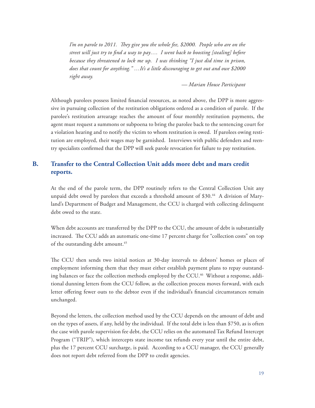*I'm on parole to 2011. They give you the whole fee, \$2000. People who are on the street will just try to find a way to pay…. I went back to boosting [stealing] before because they threatened to lock me up. I was thinking "I just did time in prison, does that count for anything." …It's a little discouraging to get out and owe \$2000 right away.*

 *— Marian House Participant*

Although parolees possess limited financial resources, as noted above, the DPP is more aggressive in pursuing collection of the restitution obligations ordered as a condition of parole. If the parolee's restitution arrearage reaches the amount of four monthly restitution payments, the agent must request a summons or subpoena to bring the parolee back to the sentencing court for a violation hearing and to notify the victim to whom restitution is owed. If parolees owing restitution are employed, their wages may be garnished. Interviews with public defenders and reentry specialists confirmed that the DPP will seek parole revocation for failure to pay restitution.

# **B. Transfer to the Central Collection Unit adds more debt and mars credit reports.**

At the end of the parole term, the DPP routinely refers to the Central Collection Unit any unpaid debt owed by parolees that exceeds a threshold amount of \$30.<sup>44</sup> A division of Maryland's Department of Budget and Management, the CCU is charged with collecting delinquent debt owed to the state.

When debt accounts are transferred by the DPP to the CCU, the amount of debt is substantially increased. The CCU adds an automatic one-time 17 percent charge for "collection costs" on top of the outstanding debt amount.<sup>45</sup>

The CCU then sends two initial notices at 30-day intervals to debtors' homes or places of employment informing them that they must either establish payment plans to repay outstanding balances or face the collection methods employed by the CCU.<sup>46</sup> Without a response, additional dunning letters from the CCU follow, as the collection process moves forward, with each letter offering fewer outs to the debtor even if the individual's financial circumstances remain unchanged.

Beyond the letters, the collection method used by the CCU depends on the amount of debt and on the types of assets, if any, held by the individual. If the total debt is less than \$750, as is often the case with parole supervision fee debt, the CCU relies on the automated Tax Refund Intercept Program ("TRIP"), which intercepts state income tax refunds every year until the entire debt, plus the 17 percent CCU surcharge, is paid. According to a CCU manager, the CCU generally does not report debt referred from the DPP to credit agencies.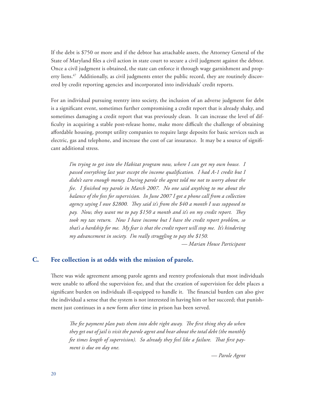If the debt is \$750 or more and if the debtor has attachable assets, the Attorney General of the State of Maryland files a civil action in state court to secure a civil judgment against the debtor. Once a civil judgment is obtained, the state can enforce it through wage garnishment and property liens.<sup>47</sup> Additionally, as civil judgments enter the public record, they are routinely discovered by credit reporting agencies and incorporated into individuals' credit reports.

For an individual pursuing reentry into society, the inclusion of an adverse judgment for debt is a significant event, sometimes further compromising a credit report that is already shaky, and sometimes damaging a credit report that was previously clean. It can increase the level of difficulty in acquiring a stable post-release home, make more difficult the challenge of obtaining affordable housing, prompt utility companies to require large deposits for basic services such as electric, gas and telephone, and increase the cost of car insurance. It may be a source of significant additional stress.

*I'm trying to get into the Habitat program now, where I can get my own house. I passed everything last year except the income qualification. I had A-1 credit but I didn't earn enough money. During parole the agent told me not to worry about the fee. I finished my parole in March 2007. No one said anything to me about the balance of the fees for supervision. In June 2007 I got a phone call from a collection agency saying I owe \$2800. They said it's from the \$40 a month I was supposed to pay. Now, they want me to pay \$150 a month and it's on my credit report. They took my tax return. Now I have income but I have the credit report problem, so that's a hardship for me. My fear is that the credit report will stop me. It's hindering my advancement in society. I'm really struggling to pay the \$150.*

*— Marian House Participant*

#### **C. Fee collection is at odds with the mission of parole.**

There was wide agreement among parole agents and reentry professionals that most individuals were unable to afford the supervision fee, and that the creation of supervision fee debt places a significant burden on individuals ill-equipped to handle it. The financial burden can also give the individual a sense that the system is not interested in having him or her succeed; that punishment just continues in a new form after time in prison has been served.

*The fee payment plan puts them into debt right away. The first thing they do when they get out of jail is visit the parole agent and hear about the total debt (the monthly fee times length of supervision). So already they feel like a failure. That first payment is due on day one.*

*— Parole Agent*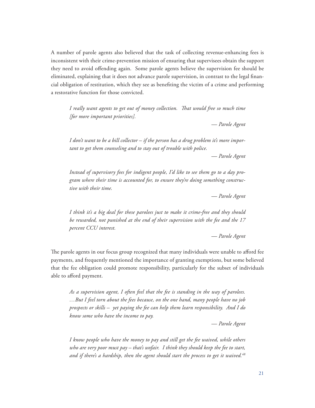A number of parole agents also believed that the task of collecting revenue-enhancing fees is inconsistent with their crime-prevention mission of ensuring that supervisees obtain the support they need to avoid offending again. Some parole agents believe the supervision fee should be eliminated, explaining that it does not advance parole supervision, in contrast to the legal financial obligation of restitution, which they see as benefiting the victim of a crime and performing a restorative function for those convicted.

*I really want agents to get out of money collection. That would free so much time [for more important priorities].*

*— Parole Agent*

*I don't want to be a bill collector – if the person has a drug problem it's more important to get them counseling and to stay out of trouble with police.*

*— Parole Agent*

*Instead of supervisory fees for indigent people, I'd like to see them go to a day program where their time is accounted for, to ensure they're doing something constructive with their time.*

*— Parole Agent* 

*I think it's a big deal for these parolees just to make it crime-free and they should be rewarded, not punished at the end of their supervision with the fee and the 17 percent CCU interest.*

*— Parole Agent*

The parole agents in our focus group recognized that many individuals were unable to afford fee payments, and frequently mentioned the importance of granting exemptions, but some believed that the fee obligation could promote responsibility, particularly for the subset of individuals able to afford payment.

*As a supervision agent, I often feel that the fee is standing in the way of parolees. …But I feel torn about the fees because, on the one hand, many people have no job prospects or skills – yet paying the fee can help them learn responsibility. And I do know some who have the income to pay.*

*— Parole Agent*

*I know people who have the money to pay and still get the fee waived, while others who are very poor must pay – that's unfair. I think they should keep the fee to start, and if there's a hardship, then the agent should start the process to get it waived.48*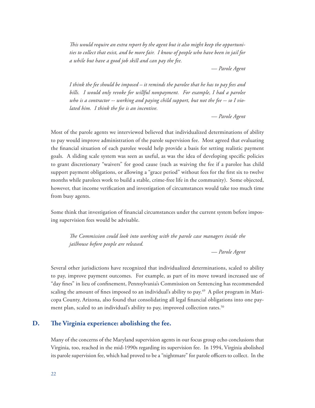*This would require an extra report by the agent but it also might keep the opportunities to collect that exist, and be more fair. I know of people who have been in jail for a while but have a good job skill and can pay the fee.*

*— Parole Agent*

*I think the fee should be imposed – it reminds the parolee that he has to pay fees and bills. I would only revoke for willful nonpayment. For example, I had a parolee who is a contractor -- working and paying child support, but not the fee -- so I violated him. I think the fee is an incentive.*

*— Parole Agent*

Most of the parole agents we interviewed believed that individualized determinations of ability to pay would improve administration of the parole supervision fee. Most agreed that evaluating the financial situation of each parolee would help provide a basis for setting realistic payment goals. A sliding scale system was seen as useful, as was the idea of developing specific policies to grant discretionary "waivers" for good cause (such as waiving the fee if a parolee has child support payment obligations, or allowing a "grace period" without fees for the first six to twelve months while parolees work to build a stable, crime-free life in the community). Some objected, however, that income verification and investigation of circumstances would take too much time from busy agents.

Some think that investigation of financial circumstances under the current system before imposing supervision fees would be advisable.

*The Commission could look into working with the parole case managers inside the jailhouse before people are released.*

*— Parole Agent*

Several other jurisdictions have recognized that individualized determinations, scaled to ability to pay, improve payment outcomes. For example, as part of its move toward increased use of "day fines" in lieu of confinement, Pennsylvania's Commission on Sentencing has recommended scaling the amount of fines imposed to an individual's ability to pay.<sup>49</sup> A pilot program in Maricopa County, Arizona, also found that consolidating all legal financial obligations into one payment plan, scaled to an individual's ability to pay, improved collection rates.<sup>50</sup>

# **D. The Virginia experience: abolishing the fee.**

Many of the concerns of the Maryland supervision agents in our focus group echo conclusions that Virginia, too, reached in the mid-1990s regarding its supervision fee. In 1994, Virginia abolished its parole supervision fee, which had proved to be a "nightmare" for parole officers to collect. In the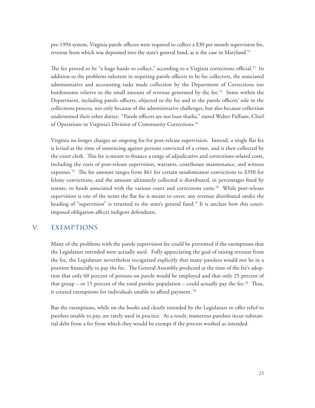pre-1994 system, Virginia parole officers were required to collect a \$30 per month supervision fee, revenue from which was deposited into the state's general fund, as is the case in Maryland.<sup>51</sup>

The fee proved to be "a huge hassle to collect," according to a Virginia corrections official.<sup>52</sup> In addition to the problems inherent in requiring parole officers to be fee collectors, the associated administrative and accounting tasks made collection by the Department of Corrections too burdensome relative to the small amount of revenue generated by the fee.53 Some within the Department, including parole officers, objected to the fee and to the parole officers' role in the collections process, not only because of the administrative challenges, but also because collection undermined their other duties: "Parole officers are not loan sharks," stated Walter Pulliam, Chief of Operations in Virginia's Division of Community Corrections.<sup>54</sup>

Virginia no longer charges an ongoing fee for post-release supervision. Instead, a single flat fee is levied at the time of sentencing against persons convicted of a crime, and is then collected by the court clerk. This fee is meant to finance a range of adjudicative and corrections-related costs, including the costs of post-release supervision, warrants, courthouse maintenance, and witness expenses.55 The fee amount ranges from \$61 for certain misdemeanor convictions to \$350 for felony convictions, and the amount ultimately collected is distributed, in percentages fixed by statute, to funds associated with the various court and corrections costs.<sup>56</sup> While post-release supervision is one of the items the flat fee is meant to cover, any revenue distributed under the heading of "supervision" is returned to the state's general fund.<sup>57</sup> It is unclear how this courtimposed obligation affects indigent defendents.

# v. exemptions

Many of the problems with the parole supervision fee could be prevented if the exemptions that the Legislature intended were actually used. Fully appreciating the goal of raising revenue from the fee, the Legislature nevertheless recognized explicitly that many parolees would not be in a position financially to pay the fee. The General Assembly predicted at the time of the fee's adoption that only 60 percent of persons on parole would be employed and that only 25 percent of that group – or 15 percent of the total parolee population – could actually pay the fee.<sup>58</sup> Thus, it created exemptions for individuals unable to afford payment. 59

But the exemptions, while on the books and clearly intended by the Legislature to offer relief to parolees unable to pay, are rarely used in practice. As a result, numerous parolees incur substantial debt from a fee from which they would be exempt if the process worked as intended.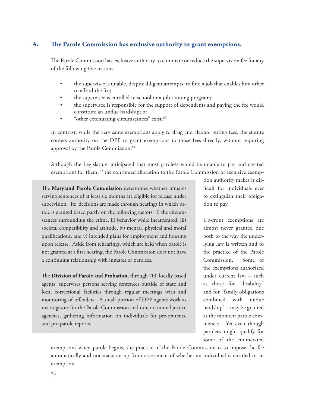#### **A. The Parole Commission has exclusive authority to grant exemptions.**

The Parole Commission has exclusive authority to eliminate or reduce the supervision fee for any of the following five reasons:

- the supervisee is unable, despite diligent attempts, to find a job that enables him orher to afford the fee;
- the supervisee is enrolled in school or a job training program;
- the supervisee is responsible for the support of dependents and paying the fee would constitute an undue hardship; or
- "other extenuating circumstances" exist.<sup>60</sup>

In contrast, while the very same exemptions apply to drug and alcohol testing fees, the statute confers authority on the DPP to grant exemptions to those fees directly, without requiring approval by the Parole Commission.<sup>61</sup>

Although the Legislature anticipated that most parolees would be unable to pay and created exemptions for them, <sup>62</sup> the continued allocation to the Parole Commission of exclusive exemp-

The **Maryland Parole Commission** determines whether inmates serving sentences of at least six months are eligible for release under supervision. Its decisions are made through hearings in which parole is granted based partly on the following factors: i) the circumstances surrounding the crime, ii) behavior while incarcerated, iii) societal compatibility and attitude, iv) mental, physical and moral qualifications, and v) intended plans for employment and housing upon release. Aside from rehearings, which are held when parole is not granted at a first hearing, the Parole Commission does not have a continuing relationship with inmates or parolees.

The **Division of Parole and Probation**, through 700 locally based agents, supervises persons serving sentences outside of state and local correctional facilities through regular meetings with and monitoring of offenders. A small portion of DPP agents work as investigators for the Parole Commission and other criminal justice agencies, gathering information on individuals for pre-sentence and pre-parole reports.

tion authority makes it difficult for individuals ever to extinguish their obligation to pay.

Up-front exemptions are almost never granted due both to the way the underlying law is written and to the practice of the Parole Commission. Some of the exemptions authorized under current law – such as those for "disability" and for "family obligations combined with undue hardship" – may be granted at the moment parole commences. Yet even though parolees might qualify for some of the enumerated

exemptions when parole begins, the practice of the Parole Commission is to impose the fee automatically and not make an up-front assessment of whether an individual is entitled to an exemption.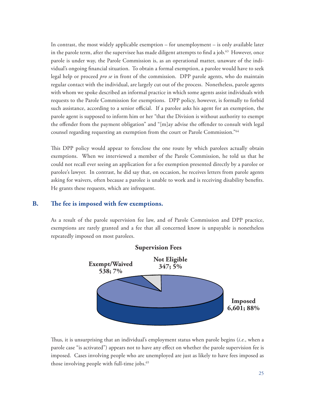In contrast, the most widely applicable exemption – for unemployment – is only available later in the parole term, after the supervisee has made diligent attempts to find a job. $63$  However, once parole is under way, the Parole Commission is, as an operational matter, unaware of the individual's ongoing financial situation. To obtain a formal exemption, a parolee would have to seek legal help or proceed *pro se* in front of the commission. DPP parole agents, who do maintain regular contact with the individual, are largely cut out of the process. Nonetheless, parole agents with whom we spoke described an informal practice in which some agents assist individuals with requests to the Parole Commission for exemptions. DPP policy, however, is formally to forbid such assistance, according to a senior official. If a parolee asks his agent for an exemption, the parole agent is supposed to inform him or her "that the Division is without authority to exempt the offender from the payment obligation" and "[m]ay advise the offender to consult with legal counsel regarding requesting an exemption from the court or Parole Commission."64

This DPP policy would appear to foreclose the one route by which parolees actually obtain exemptions. When we interviewed a member of the Parole Commission, he told us that he could not recall ever seeing an application for a fee exemption presented directly by a parolee or parolee's lawyer. In contrast, he did say that, on occasion, he receives letters from parole agents asking for waivers, often because a parolee is unable to work and is receiving disability benefits. He grants these requests, which are infrequent.

# **B. The fee is imposed with few exemptions.**

As a result of the parole supervision fee law, and of Parole Commission and DPP practice, exemptions are rarely granted and a fee that all concerned know is unpayable is nonetheless repeatedly imposed on most parolees.



Thus, it is unsurprising that an individual's employment status when parole begins (*i.e.*, when a parole case "is activated") appears not to have any effect on whether the parole supervision fee is imposed. Cases involving people who are unemployed are just as likely to have fees imposed as those involving people with full-time jobs.<sup>65</sup>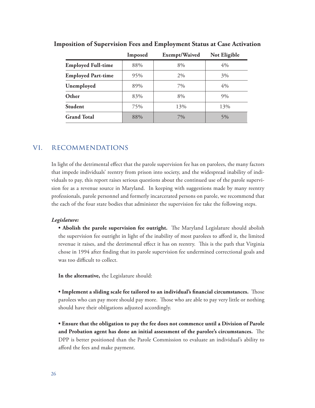|                           | Imposed | Exempt/Waived | Not Eligible |
|---------------------------|---------|---------------|--------------|
| <b>Employed Full-time</b> | 88%     | 8%            | 4%           |
| <b>Employed Part-time</b> | 95%     | 2%            | 3%           |
| Unemployed                | 89%     | 7%            | 4%           |
| Other                     | 83%     | 8%            | 9%           |
| <b>Student</b>            | 75%     | 13%           | 13%          |
| <b>Grand Total</b>        | 88%     | $7\%$         | 5%           |

**Imposition of Supervision Fees and Employment Status at Case Activation**

# vi. recommendations

In light of the detrimental effect that the parole supervision fee has on parolees, the many factors that impede individuals' reentry from prison into society, and the widespread inability of individuals to pay, this report raises serious questions about the continued use of the parole supervision fee as a revenue source in Maryland. In keeping with suggestions made by many reentry professionals, parole personnel and formerly incarcerated persons on parole, we recommend that the each of the four state bodies that administer the supervision fee take the following steps.

#### *Legislature:*

**• Abolish the parole supervision fee outright.** The Maryland Legislature should abolish the supervision fee outright in light of the inability of most parolees to afford it, the limited revenue it raises, and the detrimental effect it has on reentry. This is the path that Virginia chose in 1994 after finding that its parole supervision fee undermined correctional goals and was too difficult to collect.

**In the alternative,** the Legislature should:

**• Implement a sliding scale fee tailored to an individual's financial circumstances.** Those parolees who can pay more should pay more. Those who are able to pay very little or nothing should have their obligations adjusted accordingly.

**• Ensure that the obligation to pay the fee does not commence until a Division of Parole and Probation agent has done an initial assessment of the parolee's circumstances.** The DPP is better positioned than the Parole Commission to evaluate an individual's ability to afford the fees and make payment.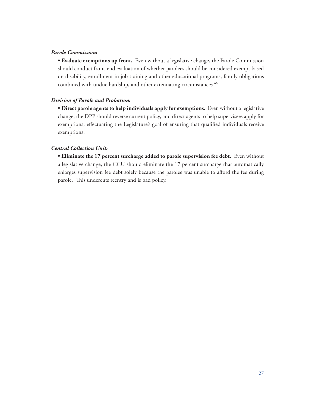#### *Parole Commission:*

**• Evaluate exemptions up front.** Even without a legislative change, the Parole Commission should conduct front-end evaluation of whether parolees should be considered exempt based on disability, enrollment in job training and other educational programs, family obligations combined with undue hardship, and other extenuating circumstances.<sup>66</sup>

#### *Division of Parole and Probation:*

**• Direct parole agents to help individuals apply for exemptions.** Even without a legislative change, the DPP should reverse current policy, and direct agents to help supervisees apply for exemptions, effectuating the Legislature's goal of ensuring that qualified individuals receive exemptions.

#### *Central Collection Unit:*

**• Eliminate the 17 percent surcharge added to parole supervision fee debt.** Even without a legislative change, the CCU should eliminate the 17 percent surcharge that automatically enlarges supervision fee debt solely because the parolee was unable to afford the fee during parole. This undercuts reentry and is bad policy.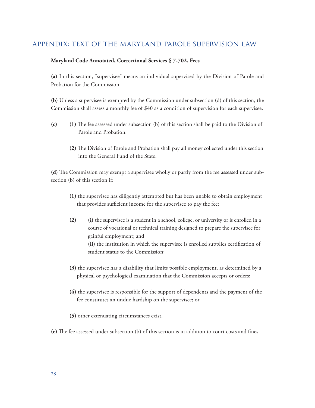# appendix: text of the maryland parole supervision law

#### **Maryland Code Annotated, Correctional Services § 7-702. Fees**

**(a)** In this section, "supervisee" means an individual supervised by the Division of Parole and Probation for the Commission.

**(b)** Unless a supervisee is exempted by the Commission under subsection (d) of this section, the Commission shall assess a monthly fee of \$40 as a condition of supervision for each supervisee.

- **(c) (1)** The fee assessed under subsection (b) of this section shall be paid to the Division of Parole and Probation.
	- **(2)** The Division of Parole and Probation shall pay all money collected under this section into the General Fund of the State.

**(d)** The Commission may exempt a supervisee wholly or partly from the fee assessed under subsection (b) of this section if:

- **(1)** the supervisee has diligently attempted but has been unable to obtain employment that provides sufficient income for the supervisee to pay the fee;
- **(2) (i)** the supervisee is a student in a school, college, or university or is enrolled in a course of vocational or technical training designed to prepare the supervisee for gainful employment; and **(ii)** the institution in which the supervisee is enrolled supplies certification of student status to the Commission;
- **(3)** the supervisee has a disability that limits possible employment, as determined by a physical or psychological examination that the Commission accepts or orders;
- **(4)** the supervisee is responsible for the support of dependents and the payment of the fee constitutes an undue hardship on the supervisee; or
- **(5)** other extenuating circumstances exist.
- **(e)** The fee assessed under subsection (b) of this section is in addition to court costs and fines.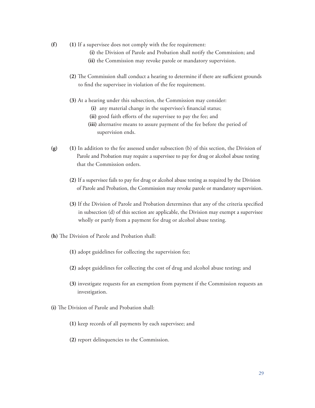- **(f) (1)** If a supervisee does not comply with the fee requirement:
	- **(i)** the Division of Parole and Probation shall notify the Commission; and
	- **(ii)** the Commission may revoke parole or mandatory supervision.
	- **(2)** The Commission shall conduct a hearing to determine if there are sufficient grounds to find the supervisee in violation of the fee requirement.
	- **(3)** At a hearing under this subsection, the Commission may consider:
		- **(i)** any material change in the supervisee's financial status;
		- **(ii)** good faith efforts of the supervisee to pay the fee; and
		- **(iii)** alternative means to assure payment of the fee before the period of supervision ends.
- **(g) (1)** In addition to the fee assessed under subsection (b) of this section, the Division of Parole and Probation may require a supervisee to pay for drug or alcohol abuse testing that the Commission orders.
	- **(2)** If a supervisee fails to pay for drug or alcohol abuse testing as required by the Division of Parole and Probation, the Commission may revoke parole or mandatory supervision.
	- **(3)** If the Division of Parole and Probation determines that any of the criteria specified in subsection (d) of this section are applicable, the Division may exempt a supervisee wholly or partly from a payment for drug or alcohol abuse testing.
- **(h)** The Division of Parole and Probation shall:
	- **(1)** adopt guidelines for collecting the supervision fee;
	- **(2)** adopt guidelines for collecting the cost of drug and alcohol abuse testing; and
	- **(3)** investigate requests for an exemption from payment if the Commission requests an investigation.
- **(i)** The Division of Parole and Probation shall:
	- **(1)** keep records of all payments by each supervisee; and
	- **(2)** report delinquencies to the Commission.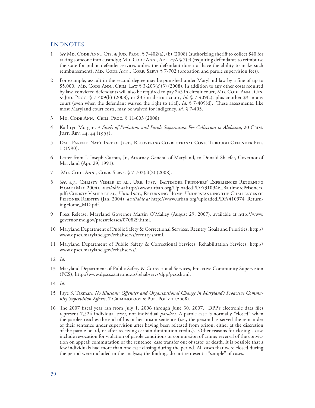#### **ENDNOTES**

- 1 *See* Md. Code Ann., Cts. & Jud. Proc. § 7-402(a), (b) (2008) (authorizing sheriff to collect \$40 for taking someone into custody); MD. CODE ANN., ART.  $27A \S$  7(c) (requiring defendants to reimburse the state for public defender services unless the defendant does not have the ability to make such reimbursement); MD. CODE ANN., CORR. SERVS § 7-702 (probation and parole supervision fees).
- 2 For example, assault in the second degree may be punished under Maryland law by a fine of up to  $$5,000$ . Md. Code Ann., Crim. Law  $$3-203(c)(3)$  (2008). In addition to any other costs required by law, convicted defendants will also be required to pay \$45 in circuit court, MD. CODE ANN., CTs. & Jud. Proc. § 7-409(b) (2008), or \$35 in district court, *Id.* § 7-409(c), plus another \$3 in any court (even when the defendant waived the right to trial), *Id.* § 7-409(d). These assessments, like most Maryland court costs, may be waived for indigency. *Id.* § 7-405.
- 3 Md. Code Ann., Crim. Proc. § 11-603 (2008).
- 4 Kathryn Morgan, *A Study of Probation and Parole Supervision Fee Collection in Alabama*, 20 Crim. Just. Rev. 44, 44 (1995).
- 5 Dale Parent, Nat'l Inst of Just., Recovering Correctional Costs Through Offender Fees 1 (1990).
- 6 Letter from J. Joseph Curran, Jr., Attorney General of Maryland, to Donald Shaefer, Governor of Maryland (Apr. 29, 1991).
- 7 MD. CODE ANN., CORR. SERVS. § 7-702(c)(2) (2008).
- 8 *See*, *e.g.*, Christy Visher et al., Urb. Inst., Baltimore Prisoners' Experiences Returning Home (Mar. 2004), *available at* http://www.urban.org/UploadedPDF/310946\_BaltimorePrisoners. pdf; Christy Visher et al., Urb. Inst., Returning Home: Understanding the Challenges of Prisoner Reentry (Jan. 2004), *available at* http://www.urban.org/uploadedPDF/410974\_ReturningHome\_MD.pdf.
- 9 Press Release, Maryland Governor Martin O'Malley (August 29, 2007), available at http://www. governor.md.gov/pressreleases/070829.html.
- 10 Maryland Department of Public Safety & Correctional Services, Reentry Goals and Priorities, http:// www.dpscs.maryland.gov/rehabservs/reentry.shtml.
- 11 Maryland Department of Public Safety & Correctional Services, Rehabilitation Services, http:// www.dpscs.maryland.gov/rehabservs/.
- 12 *Id*.
- 13 Maryland Department of Public Safety & Correctional Services, Proactive Community Supervision (PCS), http://www.dpscs.state.md.us/rehabservs/dpp/pcs.shtml.
- 14 *Id.*
- 15 Faye S. Taxman, *No Illusions: Offender and Organizational Change in Maryland's Proactive Community Supervision Efforts*, 7 Criminology & Pub. Pol'y 2 (2008).
- 16 The 2007 fiscal year ran from July 1, 2006 through June 30, 2007. DPP's electronic data files represent 7,524 individual *cases*, not individual *parolees*. A parole case is normally "closed" when the parolee reaches the end of his or her prison sentence (i.e., the person has served the remainder of their sentence under supervision after having been released from prison, either at the discretion of the parole board, or after receiving certain diminution credits). Other reasons for closing a case include revocation for violation of parole conditions or commission of crime; reversal of the conviction on appeal; commutation of the sentence; case transfer out of state; or death. It is possible that a few individuals had more than one case closing during the period. All cases that were closed during the period were included in the analysis; the findings do not represent a "sample" of cases.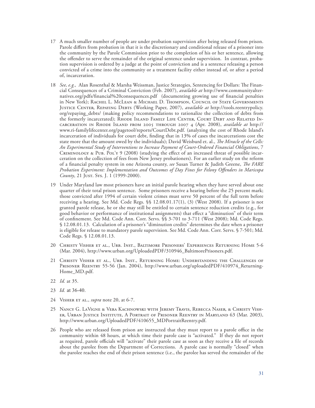- 17 A much smaller number of people are under probation supervision after being released from prison. Parole differs from probation in that it is the discretionary and conditional release of a prisoner into the community by the Parole Commission prior to the completion of his or her sentence, allowing the offender to serve the remainder of the original sentence under supervision. In contrast, probation supervision is ordered by a judge at the point of conviction and is a sentence releasing a person convicted of a crime into the community or a treatment facility either instead of, or after a period of, incarceration.
- 18 *See, e.g.,* Alan Rosenthal & Marsha Weissman, Justice Strategies, Sentencing for Dollars: The Financial Consequences of a Criminal Conviction (Feb. 2007), *available at* http://www.communityalternatives.org/pdfs/financial%20consequences.pdf (documenting growing use of financial penalties in New York); Rachel L. McLean & Michael D. Thompson, Council of State Governments Justice Center, Repaying Debts (Working Paper, 2007), *available at* http://tools.reentrypolicy. org/repaying\_debts/ (making policy recommendations to rationalize the collection of debts from the formerly incarcerated); RHODE ISLAND FAMILY LIFE CENTER, COURT DEBT AND RELATED INcarceration in Rhode Island from 2005 through 2007 4 (Apr. 2008), *available at* http:// www.ri-familylifecenter.org/pagetool/reports/CourtDebt.pdf. (analyzing the cost of Rhode Island's incarceration of individuals for court debt, finding that in 13% of cases the incarcerations cost the state more that the amount owed by the individuals); David Weisburd et. al., *The Miracle of the Cells: An Experimental Study of Interventions to Increase Payment of Court-Ordered Financial Obligations*, 7 CRIMINOLOGY & PUB. POL'Y 9 (2008) (studying the effect of an increased threat of possible incarceration on the collection of fees from New Jersey probationers). For an earlier study on the reform of a financial penalty system in one Arizona county, *see* Susan Turner & Judith Greene, *The FARE Probation Experiment: Implementation and Outcomes of Day Fines for Felony Offenders in Maricopa*  County, 21 JUST. Sys. J. 1 (1999-2000).
- 19 Under Maryland law most prisoners have an initial parole hearing when they have served about one quarter of their total prison sentence. Some prisoners receive a hearing before the 25 percent mark; those convicted after 1994 of certain violent crimes must serve 50 percent of the full term before receiving a hearing. See Md. Code Regs. §§ 12.08.01.17(1), (3) (West 2008). If a prisoner is not granted parole release, he or she may still be entitled to certain sentence reduction credits (e.g., for good behavior or performance of institutional assignments) that effect a "diminution" of their term of confinement. See Md. Code Ann. Corr. Servs. §§ 3-701 to 3-711 (West 2008); Md. Code Regs. § 12.08.01.13. Calculation of a prisoner's "diminution credits" determines the date when a prisoner is eligible for release to mandatory parole supervision. See Md. Code Ann. Corr. Servs. § 7-501; Md. Code Regs. § 12.08.01.13.
- 20 Christy Visher et al., Urb. Inst., Baltimore Prisoners' Experiences Returning Home 5-6 (Mar. 2004), http://www.urban.org/UploadedPDF/310946\_BaltimorePrisoners.pdf.
- 21 Christy Visher et al., Urb. Inst., Returning Home: Understanding the Challenges of Prisoner Reentry 55-56 (Jan. 2004), http://www.urban.org/uploadedPDF/410974\_Returning-Home\_MD.pdf.
- 22 *Id.* at 35.
- 23 *Id.* at 36-40.
- 24 Visher et al., *supra* note 20, at 6-7.
- 25 Nancy G. LaVigne & Vera Kachnowski with Jeremy Travis, Rebecca Naser, & Christy Visher, Urban Justice Institute, A Portrait of Prisoner Reentry in Maryland 63 (Mar. 2003), http://www.urban.org/UploadedPDF/410655\_MDPortraitReentry.pdf.
- 26 People who are released from prison are instructed that they must report to a parole office in the community within 48 hours, at which time their parole case is "activated." If they do not report as required, parole officials will "activate" their parole case as soon as they receive a file of records about the parolee from the Department of Corrections. A parole case is normally "closed" when the parolee reaches the end of their prison sentence (i.e., the parolee has served the remainder of the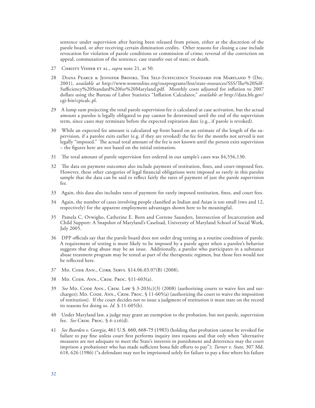sentence under supervision after having been released from prison, either at the discretion of the parole board, or after receiving certain diminution credits. Other reasons for closing a case include revocation for violation of parole conditions or commission of crime; reversal of the conviction on appeal; commutation of the sentence; case transfer out of state; or death.

- 27 Christy Visher et al., *supra* note 21, at 50.
- 28 Diana Pearce & Jennifer Brooks, The Self-Sufficiency Standard for Maryland 9 (Dec. 2001), *available at* http://www.wowonline.org/ourprograms/fess/state-resources/SSS/The%20Self-Sufficiency%20Standard%20for%20Maryland.pdf. Monthly costs adjusted for inflation to 2007 dollars using the Bureau of Labor Statistics "Inflation Calculator," *available at* http://data.bls.gov/ cgi-bin/cpicalc.pl.
- 29 A lump sum projecting the total parole supervision fee *is* calculated at case activation, but the actual amount a parolee is legally obligated to pay cannot be determined until the end of the supervision term, since cases may terminate before the expected expiration date (e.g., if parole is revoked).
- 30 While an expected fee amount is calculated up front based on an estimate of the length of the supervision, if a parolee exits earlier (e.g. if they are revoked) the fee for the months not served is not legally "imposed." The actual total amount of the fee is not known until the person exits supervision – the figures here are not based on the initial estimation.
- 31 The total amount of parole supervision fees ordered in our sample's cases was \$4,556,130.
- 32 The data on payment outcomes also include payment of restitution, fines, and court-imposed fees. However, these other categories of legal financial obligations were imposed so rarely in this parolee sample that the data can be said to reflect fairly the rates of payment of just the parole supervision fee.
- 33 Again, this data also includes rates of payment for rarely imposed restitution, fines, and court fees.
- 34 Again, the number of cases involving people classified as Indian and Asian is too small (two and 12, respectively) for the apparent employment advantages shown here to be meaningful.
- 35 Pamela C. Ovwigho, Catherine E. Born and Correne Saunders, Intersection of Incarceration and Child Support: A Snapshot of Maryland's Caseload, University of Maryland School of Social Work, July 2005.
- 36 DPP officials say that the parole board does not order drug testing as a routine condition of parole. A requirement of testing is more likely to be imposed by a parole agent when a parolee's behavior suggests that drug abuse may be an issue. Additionally, a parolee who participates in a substance abuse treatment program may be tested as part of the therapeutic regimen, but those fees would not be reflected here.
- 37 Md. Code Ann., Corr. Servs. §14.06.03.07(B) (2008).
- 38 Md. Code. Ann., Crim. Proc. §11-603(a).
- 39 See MD. CODE ANN., CRIM. LAW § 3-203(c)(3) (2008) (authorizing courts to waive fees and surcharges); MD. CODE. ANN., CRIM. PROC. § 11-605(a) (authorizing the court to waive the imposition of restitution). If the court decides not to issue a judgment of restitution it must state on the record its reasons for doing so. *Id.* § 11-605(b).
- 40 Under Maryland law, a judge may grant an exemption to the probation, but not parole, supervision fee. *See* Crim. Proc. § 6-226(d)*.*
- 41 *See Bearden v. Georgia*, 461 U.S. 660, 668-75 (1983) (holding that probation cannot be revoked for failure to pay fine unless court first performs inquiry into reasons and that only when "alternative measures are not adequate to meet the State's interests in punishment and deterrence may the court imprison a probationer who has made sufficient bona fide efforts to pay"); *Turner v. State,* 307 Md. 618, 626 (1986) ("a defendant may not be imprisoned solely for failure to pay a fine where his failure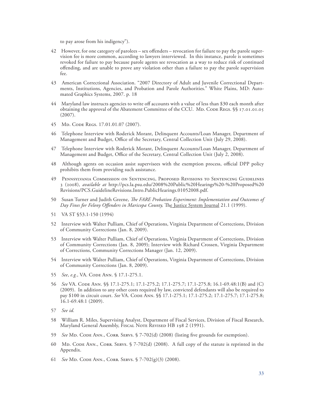to pay arose from his indigency").

- 42 However, for one category of parolees sex offenders revocation for failure to pay the parole supervision fee is more common, according to lawyers interviewed. In this instance, parole is sometimes revoked for failure to pay because parole agents see revocation as a way to reduce risk of continued offending, and are unable to prove any violation other than a failure to pay the parole supervision fee.
- 43 American Correctional Association. "2007 Directory of Adult and Juvenile Correctional Departments, Institutions, Agencies, and Probation and Parole Authorities." White Plains, MD: Automated Graphics Systems, 2007. p. 18
- 44 Maryland law instructs agencies to write off accounts with a value of less than \$30 each month after obtaining the approval of the Abatement Committee of the CCU. MD. CODE REGS. §§ 17.01.01.05 (2007).
- 45 MD. CODE REGS. 17.01.01.07 (2007).
- 46 Telephone Interview with Roderick Morant, Delinquent Accounts/Loan Manager, Department of Management and Budget, Office of the Secretary, Central Collection Unit (July 29, 2008).
- 47 Telephone Interview with Roderick Morant, Delinquent Accounts/Loan Manager, Department of Management and Budget, Office of the Secretary, Central Collection Unit (July 2, 2008).
- 48 Although agents on occasion assist supervisees with the exemption process, official DPP policy prohibits them from providing such assistance.
- 49 Pennsylvania Commission on Sentencing, Proposed Revisions to Sentencing Guidelines 3 (2008), *available at* http://pcs.la.psu.edu/2008%20Public%20Hearings%20-%20Proposed%20 Revisions/PCS.GuidelineRevisions.Intro.PublicHearings.01052008.pdf.
- 50 Susan Turner and Judith Greene, *The FARE Probation Experiment: Implementation and Outcomes of Day Fines for Felony Offenders in Maricopa County,* The Justice System Journal 21.1 (1999).
- 51 VA ST §53.1-150 (1994)
- 52 Interview with Walter Pulliam, Chief of Operations, Virginia Department of Corrections, Division of Community Corrections (Jan. 8, 2009).
- 53 Interview with Walter Pulliam, Chief of Operations, Virginia Department of Corrections, Division of Community Corrections (Jan. 8, 2009); Interview with Richard Crossen, Virginia Department of Corrections, Community Corrections Manager (Jan. 12, 2009).
- 54 Interview with Walter Pulliam, Chief of Operations, Virginia Department of Corrections, Division of Community Corrections (Jan. 8, 2009).
- 55 *See*, *e.g.*, VA. Code Ann. § 17.1-275.1.
- 56 *See* VA. Code Ann. §§ 17.1-275.1; 17.1-275.2; 17.1-275.7; 17.1-275.8; 16.1-69.48:1(B) and (C) (2009). In addition to any other costs required by law, convicted defendants will also be required to pay \$100 in circuit court. *See* VA. CODE ANN. §§ 17.1-275.1; 17.1-275.2; 17.1-275.7; 17.1-275.8; 16.1-69.48:1 (2009).
- 57 *See id.*
- 58 William R. Miles, Supervising Analyst, Department of Fiscal Services, Division of Fiscal Research, Maryland General Assembly, Fiscal Note Revised HB 198 2 (1991).
- 59 *See* Md. Code Ann., Corr. Servs. § 7-702(d) (2008) (listing five grounds for exemption).
- 60 MD. CODE ANN., CORR. SERVS. § 7-702(d) (2008). A full copy of the statute is reprinted in the Appendix.
- 61 *See* Md. Code Ann., Corr. Servs. § 7-702(g)(3) (2008).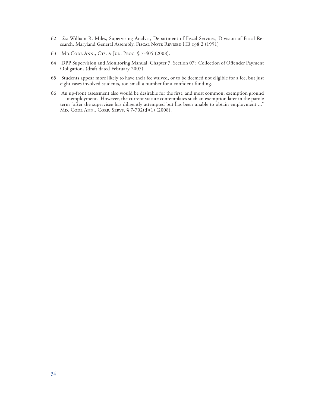- 62 *See* William R. Miles, Supervising Analyst, Department of Fiscal Services, Division of Fiscal Research, Maryland General Assembly, Fiscal Note Revised HB 198 2 (1991)
- 63 MD.CODE ANN., CTS. & JUD. PROC. § 7-405 (2008).
- 64 DPP Supervision and Monitoring Manual, Chapter 7, Section 07: Collection of Offender Payment Obligations (draft dated February 2007).
- 65 Students appear more likely to have their fee waived, or to be deemed not eligible for a fee, but just eight cases involved students, too small a number for a confident funding.
- 66 An up-front assessment also would be desirable for the first, and most common, exemption ground —unemployment. However, the current statute contemplates such an exemption later in the parole term "after the supervisee has diligently attempted but has been unable to obtain employment ..." Md. Code Ann., Corr. Servs. § 7-702(d)(1) (2008).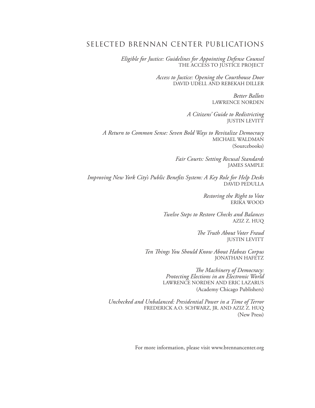# SELECTED BRENNAN CENTER PUBLICATIONS

*Eligible for Justice: Guidelines for Appointing Defense Counsel* THE ACCESS TO JUSTICE PROJECT

> *Access to Justice: Opening the Courthouse Door* DAVID UDELL AND REBEKAH DILLER

> > *Better Ballots* LAWRENCE NORDEN

*A Citizens' Guide to Redistricting* JUSTIN LEVITT

*A Return to Common Sense: Seven Bold Ways to Revitalize Democracy* MICHAEL WALDMAN (Sourcebooks)

> *Fair Courts: Setting Recusal Standards* JAMES SAMPLE

*Improving New York City's Public Benefits System: A Key Role for Help Desks* DAVID PEDULLA

> *Restoring the Right to Vote* ERIKA WOOD

*Twelve Steps to Restore Checks and Balances* AZIZ Z. HUQ

> *The Truth About Voter Fraud* JUSTIN LEVITT

*Ten Things You Should Know About Habeas Corpus* JONATHAN HAFETZ

> *The Machinery of Democracy: Protecting Elections in an Electronic World* LAWRENCE NORDEN AND ERIC LAZARUS (Academy Chicago Publishers)

*Unchecked and Unbalanced: Presidential Power in a Time of Terror* FREDERICK A.O. SCHWARZ, JR. AND AZIZ Z. HUQ (New Press)

For more information, please visit www.brennancenter.org